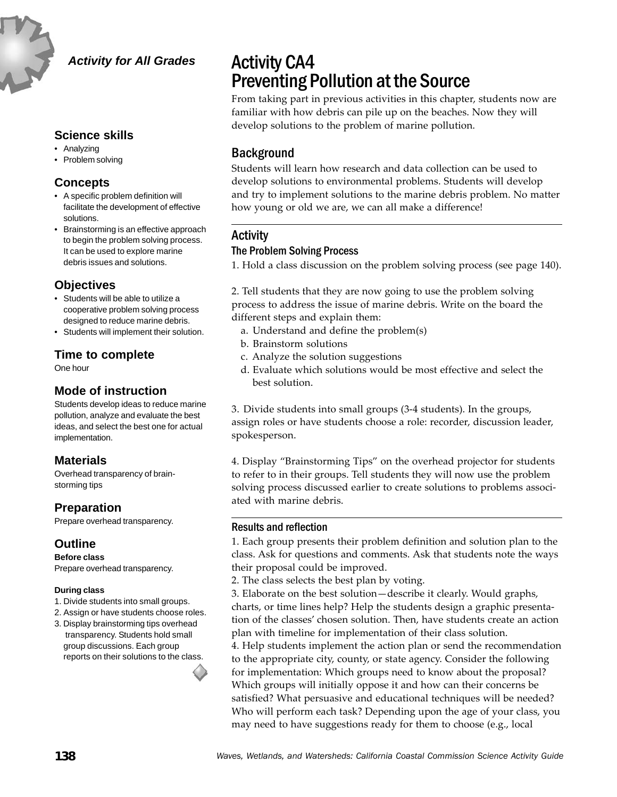

#### *Activity for All Grades*

### **Science skills**

- Analyzing
- Problem solving

### **Concepts**

- A specific problem definition will facilitate the development of effective solutions.
- Brainstorming is an effective approach to begin the problem solving process. It can be used to explore marine debris issues and solutions.

## **Objectives**

- Students will be able to utilize a cooperative problem solving process designed to reduce marine debris.
- Students will implement their solution.

## **Time to complete**

One hour

## **Mode of instruction**

Students develop ideas to reduce marine pollution, analyze and evaluate the best ideas, and select the best one for actual implementation.

## **Materials**

Overhead transparency of brainstorming tips

## **Preparation**

Prepare overhead transparency.

## **Outline**

**Before class** Prepare overhead transparency.

#### **During class**

- 1. Divide students into small groups.
- 2. Assign or have students choose roles.
- 3. Display brainstorming tips overhead transparency. Students hold small group discussions. Each group reports on their solutions to the class.

# Activity CA4 Preventing Pollution at the Source

From taking part in previous activities in this chapter, students now are familiar with how debris can pile up on the beaches. Now they will develop solutions to the problem of marine pollution.

## Background

Students will learn how research and data collection can be used to develop solutions to environmental problems. Students will develop and try to implement solutions to the marine debris problem. No matter how young or old we are, we can all make a difference!

# Activity

#### The Problem Solving Process

1. Hold a class discussion on the problem solving process (see page 140).

2. Tell students that they are now going to use the problem solving process to address the issue of marine debris. Write on the board the different steps and explain them:

- a. Understand and define the problem(s)
- b. Brainstorm solutions
- c. Analyze the solution suggestions
- d. Evaluate which solutions would be most effective and select the best solution.

3. Divide students into small groups (3-4 students). In the groups, assign roles or have students choose a role: recorder, discussion leader, spokesperson.

4. Display "Brainstorming Tips" on the overhead projector for students to refer to in their groups. Tell students they will now use the problem solving process discussed earlier to create solutions to problems associated with marine debris.

### Results and reflection

1. Each group presents their problem definition and solution plan to the class. Ask for questions and comments. Ask that students note the ways their proposal could be improved.

2. The class selects the best plan by voting.

3. Elaborate on the best solution—describe it clearly. Would graphs, charts, or time lines help? Help the students design a graphic presentation of the classes' chosen solution. Then, have students create an action plan with timeline for implementation of their class solution.

4. Help students implement the action plan or send the recommendation to the appropriate city, county, or state agency. Consider the following for implementation: Which groups need to know about the proposal? Which groups will initially oppose it and how can their concerns be satisfied? What persuasive and educational techniques will be needed? Who will perform each task? Depending upon the age of your class, you may need to have suggestions ready for them to choose (e.g., local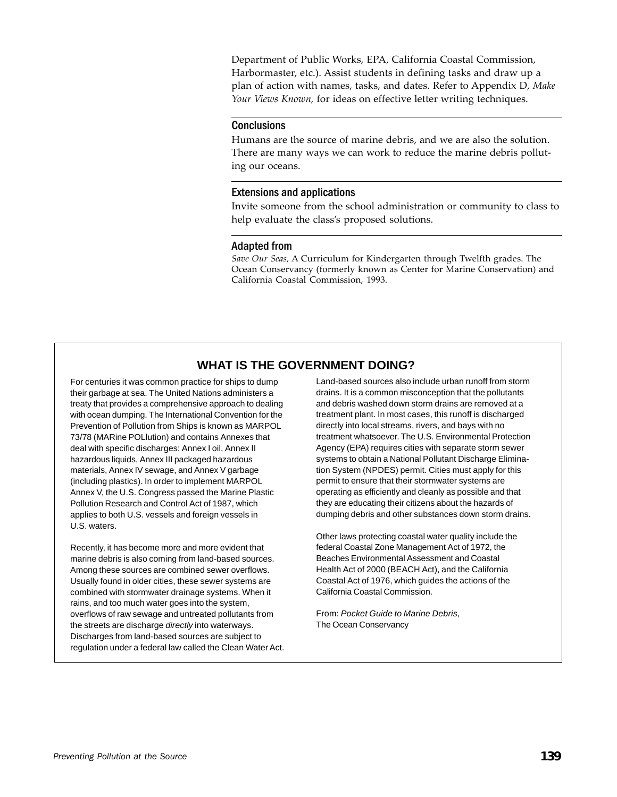Department of Public Works, EPA, California Coastal Commission, Harbormaster, etc.). Assist students in defining tasks and draw up a plan of action with names, tasks, and dates. Refer to Appendix D, *Make Your Views Known,* for ideas on effective letter writing techniques.

#### **Conclusions**

Humans are the source of marine debris, and we are also the solution. There are many ways we can work to reduce the marine debris polluting our oceans.

#### Extensions and applications

Invite someone from the school administration or community to class to help evaluate the class's proposed solutions.

#### Adapted from

*Save Our Seas,* A Curriculum for Kindergarten through Twelfth grades. The Ocean Conservancy (formerly known as Center for Marine Conservation) and California Coastal Commission, 1993.

## **WHAT IS THE GOVERNMENT DOING?**

For centuries it was common practice for ships to dump their garbage at sea. The United Nations administers a treaty that provides a comprehensive approach to dealing with ocean dumping. The International Convention for the Prevention of Pollution from Ships is known as MARPOL 73/78 (MARine POLlution) and contains Annexes that deal with specific discharges: Annex I oil, Annex II hazardous liquids, Annex III packaged hazardous materials, Annex IV sewage, and Annex V garbage (including plastics). In order to implement MARPOL Annex V, the U.S. Congress passed the Marine Plastic Pollution Research and Control Act of 1987, which applies to both U.S. vessels and foreign vessels in U.S. waters.

Recently, it has become more and more evident that marine debris is also coming from land-based sources. Among these sources are combined sewer overflows. Usually found in older cities, these sewer systems are combined with stormwater drainage systems. When it rains, and too much water goes into the system, overflows of raw sewage and untreated pollutants from the streets are discharge *directly* into waterways. Discharges from land-based sources are subject to regulation under a federal law called the Clean Water Act. Land-based sources also include urban runoff from storm drains. It is a common misconception that the pollutants and debris washed down storm drains are removed at a treatment plant. In most cases, this runoff is discharged directly into local streams, rivers, and bays with no treatment whatsoever. The U.S. Environmental Protection Agency (EPA) requires cities with separate storm sewer systems to obtain a National Pollutant Discharge Elimination System (NPDES) permit. Cities must apply for this permit to ensure that their stormwater systems are operating as efficiently and cleanly as possible and that they are educating their citizens about the hazards of dumping debris and other substances down storm drains.

Other laws protecting coastal water quality include the federal Coastal Zone Management Act of 1972, the Beaches Environmental Assessment and Coastal Health Act of 2000 (BEACH Act), and the California Coastal Act of 1976, which guides the actions of the California Coastal Commission.

From: *Pocket Guide to Marine Debris*, The Ocean Conservancy